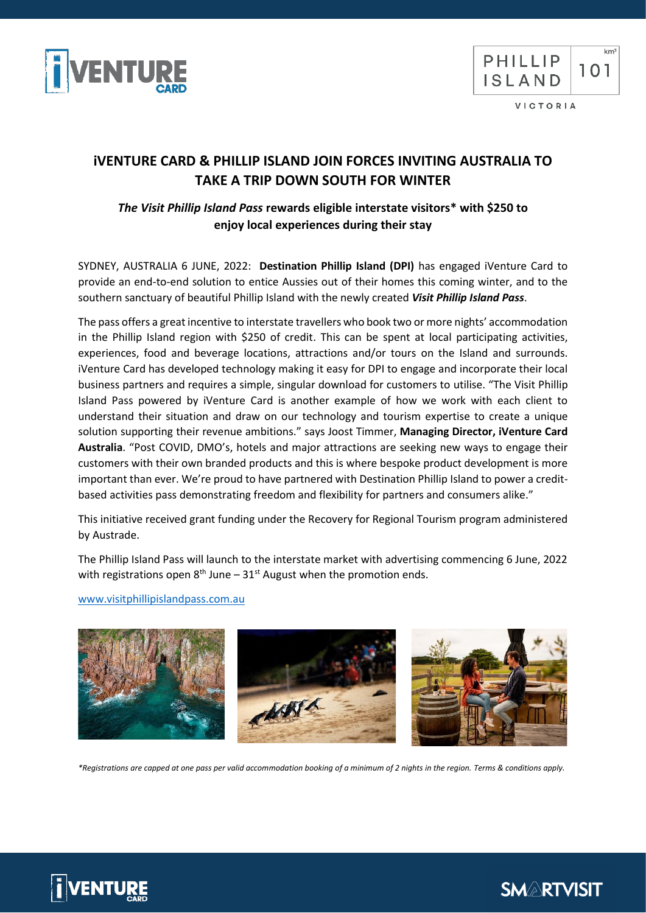



VICTORIA

# **iVENTURE CARD & PHILLIP ISLAND JOIN FORCES INVITING AUSTRALIA TO TAKE A TRIP DOWN SOUTH FOR WINTER**

## *The Visit Phillip Island Pass* **rewards eligible interstate visitors\* with \$250 to enjoy local experiences during their stay**

SYDNEY, AUSTRALIA 6 JUNE, 2022: **Destination Phillip Island (DPI)** has engaged iVenture Card to provide an end-to-end solution to entice Aussies out of their homes this coming winter, and to the southern sanctuary of beautiful Phillip Island with the newly created *Visit Phillip Island Pass*.

The pass offers a great incentive to interstate travellers who book two or more nights' accommodation in the Phillip Island region with \$250 of credit. This can be spent at local participating activities, experiences, food and beverage locations, attractions and/or tours on the Island and surrounds. iVenture Card has developed technology making it easy for DPI to engage and incorporate their local business partners and requires a simple, singular download for customers to utilise. "The Visit Phillip Island Pass powered by iVenture Card is another example of how we work with each client to understand their situation and draw on our technology and tourism expertise to create a unique solution supporting their revenue ambitions." says Joost Timmer, **Managing Director, iVenture Card Australia**. "Post COVID, DMO's, hotels and major attractions are seeking new ways to engage their customers with their own branded products and this is where bespoke product development is more important than ever. We're proud to have partnered with Destination Phillip Island to power a creditbased activities pass demonstrating freedom and flexibility for partners and consumers alike."

This initiative received grant funding under the Recovery for Regional Tourism program administered by Austrade.

The Phillip Island Pass will launch to the interstate market with advertising commencing 6 June, 2022 with registrations open  $8<sup>th</sup>$  June –  $31<sup>st</sup>$  August when the promotion ends.

[www.visitphillipislandpass.com.au](http://www.visitphillipislandpass.com.au/)



*\*Registrations are capped at one pass per valid accommodation booking of a minimum of 2 nights in the region. Terms & conditions apply.*